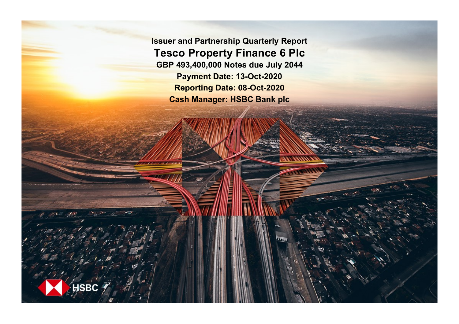**Issuer and Partnership Quarterly Report Tesco Property Finance 6 Plc GBP 493,400,000 Notes due July 2044 Payment Date: 13-Oct-2020 Reporting Date: 08-Oct-2020 Cash Manager: HSBC Bank plc**

**SRC**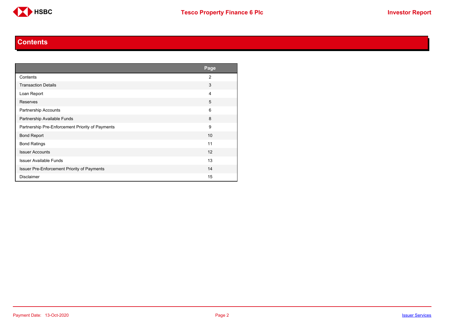

#### **Contents**

<span id="page-1-0"></span>

|                                                  | Page           |
|--------------------------------------------------|----------------|
| Contents                                         | $\overline{2}$ |
| <b>Transaction Details</b>                       | 3              |
| Loan Report                                      | 4              |
| Reserves                                         | 5              |
| Partnership Accounts                             | 6              |
| Partnership Available Funds                      | 8              |
| Partnership Pre-Enforcement Priority of Payments | 9              |
| <b>Bond Report</b>                               | 10             |
| <b>Bond Ratings</b>                              | 11             |
| <b>Issuer Accounts</b>                           | 12             |
| <b>Issuer Available Funds</b>                    | 13             |
| Issuer Pre-Enforcement Priority of Payments      | 14             |
| <b>Disclaimer</b>                                | 15             |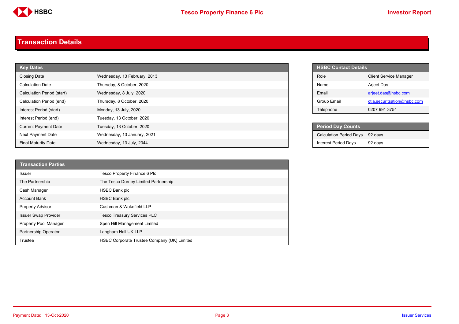

#### <span id="page-2-0"></span>**Transaction Details**

| <b>Key Dates</b>            |                              |  | <b>HSBC Contact Details</b>    |
|-----------------------------|------------------------------|--|--------------------------------|
| <b>Closing Date</b>         | Wednesday, 13 February, 2013 |  | Role                           |
| <b>Calculation Date</b>     | Thursday, 8 October, 2020    |  | Name                           |
| Calculation Period (start)  | Wednesday, 8 July, 2020      |  | Email                          |
| Calculation Period (end)    | Thursday, 8 October, 2020    |  | <b>Group Email</b>             |
| Interest Period (start)     | Monday, 13 July, 2020        |  | Telephone                      |
| Interest Period (end)       | Tuesday, 13 October, 2020    |  |                                |
| <b>Current Payment Date</b> | Tuesday, 13 October, 2020    |  | <b>Period Day Counts</b>       |
| Next Payment Date           | Wednesday, 13 January, 2021  |  | <b>Calculation Period Days</b> |
| <b>Final Maturity Date</b>  | Wednesday, 13 July, 2044     |  | <b>Interest Period Days</b>    |

| <b>Transaction Parties</b>  |                                             |
|-----------------------------|---------------------------------------------|
| <b>Issuer</b>               | Tesco Property Finance 6 Plc                |
| The Partnership             | The Tesco Dorney Limited Partnership        |
| Cash Manager                | <b>HSBC Bank plc</b>                        |
| <b>Account Bank</b>         | <b>HSBC Bank plc</b>                        |
| <b>Property Advisor</b>     | Cushman & Wakefield LLP                     |
| <b>Issuer Swap Provider</b> | <b>Tesco Treasury Services PLC</b>          |
| Property Pool Manager       | Spen Hill Management Limited                |
| Partnership Operator        | Langham Hall UK LLP                         |
| Trustee                     | HSBC Corporate Trustee Company (UK) Limited |

| <b>HSBC Contact Details</b> |                               |
|-----------------------------|-------------------------------|
| Role                        | <b>Client Service Manager</b> |
| Name                        | <b>Arjeet Das</b>             |
| <b>Fmail</b>                | arjeet.das@hsbc.com           |
| Group Email                 | ctla.securitsation@hsbc.com   |
| Telephone                   | 0207 991 3754                 |

| <b>Period Day Counts</b>       |         |
|--------------------------------|---------|
| <b>Calculation Period Days</b> | 92 davs |
| <b>Interest Period Days</b>    | 92 days |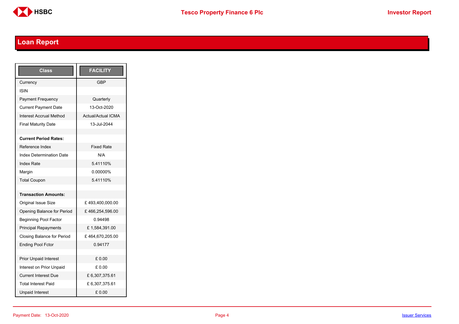

## <span id="page-3-0"></span>**Loan Report**

| <b>Class</b>                      | <b>FACILITY</b>           |
|-----------------------------------|---------------------------|
| Currency                          | GBP                       |
| ISIN                              |                           |
| <b>Payment Frequency</b>          | Quarterly                 |
| <b>Current Payment Date</b>       | 13-Oct-2020               |
| <b>Interest Accrual Method</b>    | <b>Actual/Actual ICMA</b> |
| <b>Final Maturity Date</b>        | 13-Jul-2044               |
|                                   |                           |
| <b>Current Period Rates:</b>      |                           |
| Reference Index                   | <b>Fixed Rate</b>         |
| <b>Index Determination Date</b>   | N/A                       |
| <b>Index Rate</b>                 | 5.41110%                  |
| Margin                            | 0.00000%                  |
| <b>Total Coupon</b>               | 5.41110%                  |
|                                   |                           |
| <b>Transaction Amounts:</b>       |                           |
| <b>Original Issue Size</b>        | £493,400,000.00           |
| Opening Balance for Period        | £466,254,596.00           |
| <b>Beginning Pool Factor</b>      | 0.94498                   |
| <b>Principal Repayments</b>       | £1,584,391.00             |
| <b>Closing Balance for Period</b> | £464,670,205.00           |
| <b>Ending Pool Fctor</b>          | 0.94177                   |
|                                   |                           |
| <b>Prior Unpaid Interest</b>      | £0.00                     |
| Interest on Prior Unpaid          | £ 0.00                    |
| <b>Current Interest Due</b>       | £6,307,375.61             |
| <b>Total Interest Paid</b>        | £6,307,375.61             |
| <b>Unpaid Interest</b>            | £0.00                     |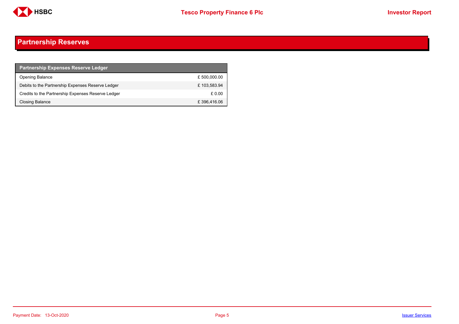

### <span id="page-4-0"></span>**Partnership Reserves**

| <b>Partnership Expenses Reserve Ledger</b>         |              |
|----------------------------------------------------|--------------|
| <b>Opening Balance</b>                             | £ 500,000.00 |
| Debits to the Partnership Expenses Reserve Ledger  | £103,583.94  |
| Credits to the Partnership Expenses Reserve Ledger | £ 0.00       |
| Closing Balance                                    | £396,416.06  |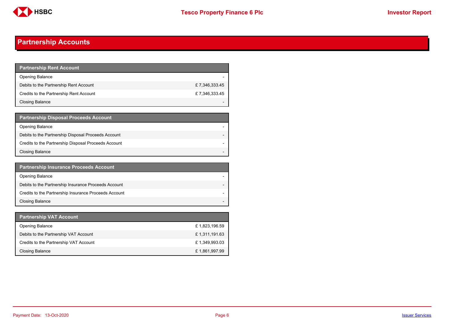

### <span id="page-5-0"></span>**Partnership Accounts**

| <b>Partnership Rent Account</b>         |               |
|-----------------------------------------|---------------|
| <b>Opening Balance</b>                  |               |
| Debits to the Partnership Rent Account  | £7.346.333.45 |
| Credits to the Partnership Rent Account | £7,346,333.45 |
| Closing Balance                         |               |

| <b>Partnership Disposal Proceeds Account</b>         |  |
|------------------------------------------------------|--|
| <b>Opening Balance</b>                               |  |
| Debits to the Partnership Disposal Proceeds Account  |  |
| Credits to the Partnership Disposal Proceeds Account |  |
| <b>Closing Balance</b>                               |  |

| <b>Partnership Insurance Proceeds Account</b>         |  |
|-------------------------------------------------------|--|
| <b>Opening Balance</b>                                |  |
| Debits to the Partnership Insurance Proceeds Account  |  |
| Credits to the Partnership Insurance Proceeds Account |  |
| <b>Closing Balance</b>                                |  |

| <b>Partnership VAT Account</b>         |               |
|----------------------------------------|---------------|
| <b>Opening Balance</b>                 | £1,823,196.59 |
| Debits to the Partnership VAT Account  | £1,311,191.63 |
| Credits to the Partnership VAT Account | £1,349,993.03 |
| Closing Balance                        | £1,861,997.99 |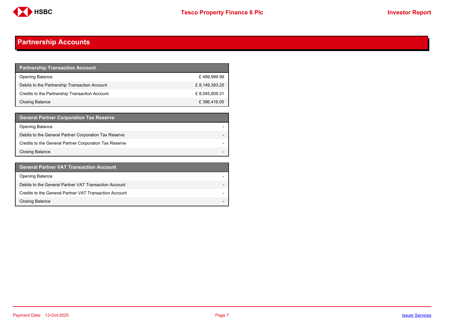

### **Partnership Accounts**

| <b>Partnership Transaction Account</b>         |                |
|------------------------------------------------|----------------|
| <b>Opening Balance</b>                         | £499.999.99    |
| Debits to the Partnership Transaction Account  | £ 8,149,393.25 |
| Credits to the Partnership Transaction Account | £8,045,809.31  |
| Closing Balance                                | £396,416.05    |

| <b>General Partner Corporation Tax Reserve</b>         |  |
|--------------------------------------------------------|--|
| <b>Opening Balance</b>                                 |  |
| Debits to the General Partner Corporation Tax Reserve  |  |
| Credits to the General Partner Corporation Tax Reserve |  |
| <b>Closing Balance</b>                                 |  |

| <b>General Partner VAT Transaction Account</b>         |                          |
|--------------------------------------------------------|--------------------------|
| <b>Opening Balance</b>                                 |                          |
| Debits to the General Partner VAT Transaction Account  |                          |
| Credits to the General Partner VAT Transaction Account |                          |
| <b>Closing Balance</b>                                 | $\overline{\phantom{0}}$ |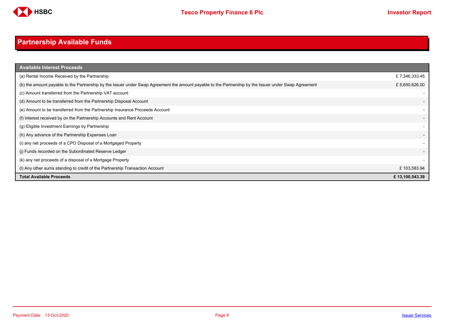

## <span id="page-7-0"></span>**Partnership Available Funds**

| <b>Available Interest Proceeds</b>                                                                                                                    |                |
|-------------------------------------------------------------------------------------------------------------------------------------------------------|----------------|
| (a) Rental Income Received by the Partnership                                                                                                         | £7,346,333.45  |
| (b) the amount payable to the Partnership by the Issuer under Swap Agreement the amount payable to the Partnership by the Issuer under Swap Agreement | £ 5,650,626.00 |
| (c) Amount transferred from the Partnership VAT account                                                                                               |                |
| (d) Amount to be transferred from the Partnership Disposal Account                                                                                    |                |
| (e) Amount to be transferred from the Partnership Insurance Proceeds Account                                                                          |                |
| (f) Interest received by on the Partnership Accounts and Rent Account                                                                                 |                |
| (g) Eligible Investment Earnings by Partnership                                                                                                       |                |
| (h) Any advance of the Partnership Expenses Loan                                                                                                      |                |
| (i) any net proceeds of a CPO Disposal of a Mortgaged Property                                                                                        |                |
| (i) Funds recorded on the Subordinated Reserve Ledger                                                                                                 |                |
| (k) any net proceeds of a disposal of a Mortgage Property                                                                                             |                |
| (I) Any other sums standing to credit of the Partnership Transaction Account                                                                          | £103,583.94    |
| <b>Total Available Proceeds</b>                                                                                                                       | £13,100,543.39 |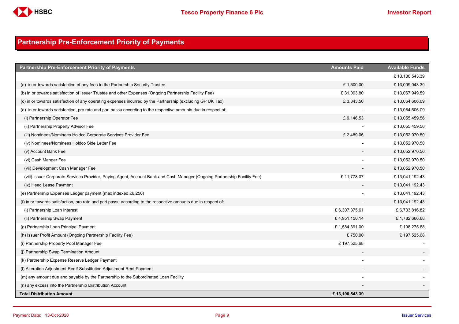

### <span id="page-8-0"></span>**Partnership Pre-Enforcement Priority of Payments**

| <b>Partnership Pre-Enforcement Priority of Payments</b>                                                                   | <b>Amounts Paid</b> | <b>Available Funds</b> |
|---------------------------------------------------------------------------------------------------------------------------|---------------------|------------------------|
|                                                                                                                           |                     | £13,100,543.39         |
| (a) in or towards satisfaction of any fees to the Partnership Security Trustee                                            | £1,500.00           | £13,099,043.39         |
| (b) in or towards satisfaction of Issuer Trustee and other Expenses (Ongoing Partnership Facility Fee)                    | £31,093.80          | £13,067,949.59         |
| (c) in or towards satisfaction of any operating expenses incurred by the Partnership (excluding GP UK Tax)                | £3,343.50           | £13,064,606.09         |
| (d) in or towards satisfaction, pro rata and pari passu according to the respective amounts due in respect of:            |                     | £13,064,606.09         |
| (i) Partnership Operator Fee                                                                                              | £9,146.53           | £13,055,459.56         |
| (ii) Partnership Property Advisor Fee                                                                                     |                     | £13,055,459.56         |
| (iii) Nominees/Nominees Holdco Corporate Services Provider Fee                                                            | £2,489.06           | £13,052,970.50         |
| (iv) Nominees/Nominees Holdco Side Letter Fee                                                                             |                     | £13,052,970.50         |
| (v) Account Bank Fee                                                                                                      |                     | £13,052,970.50         |
| (vi) Cash Manger Fee                                                                                                      |                     | £13,052,970.50         |
| (vii) Development Cash Manager Fee                                                                                        |                     | £13,052,970.50         |
| (viii) Issuer Corporate Services Provider, Paying Agent, Account Bank and Cash Manager (Ongoing Partnership Facility Fee) | £11,778.07          | £13,041,192.43         |
| (ix) Head Lease Payment                                                                                                   |                     | £13,041,192.43         |
| (e) Partnership Expenses Ledger payment (max indexed £6,250)                                                              |                     | £13,041,192.43         |
| (f) in or towards satisfaction, pro rata and pari passu according to the respective amounts due in respect of:            |                     | £13,041,192.43         |
| (i) Partnership Loan Interest                                                                                             | £6,307,375.61       | £ 6,733,816.82         |
| (ii) Partnership Swap Payment                                                                                             | £4,951,150.14       | £1,782,666.68          |
| (g) Partnership Loan Principal Payment                                                                                    | £1,584,391.00       | £198,275.68            |
| (h) Issuer Profit Amount (Ongoing Partnership Facility Fee)                                                               | £750.00             | £197,525.68            |
| (i) Partnership Property Pool Manager Fee                                                                                 | £197,525.68         |                        |
| (i) Partnership Swap Termination Amount                                                                                   |                     |                        |
| (k) Partnership Expense Reserve Ledger Payment                                                                            |                     |                        |
| (I) Alteration Adjustment Rent/ Substitution Adjustment Rent Payment                                                      |                     |                        |
| (m) any amount due and payable by the Partnership to the Subordinated Loan Facility                                       |                     |                        |
| (n) any excess into the Partnership Distribution Account                                                                  |                     |                        |
| <b>Total Distribution Amount</b>                                                                                          | £13,100,543.39      |                        |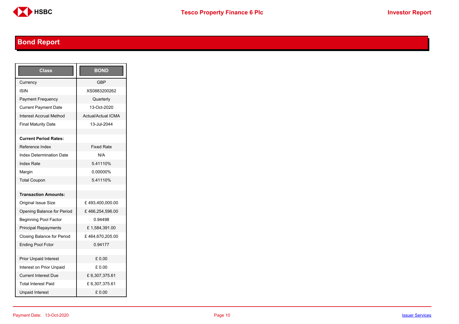

## <span id="page-9-0"></span>**Bond Report**

| Class                           | <b>BOND</b>               |
|---------------------------------|---------------------------|
| Currency                        | <b>GBP</b>                |
| ISIN                            | XS0883200262              |
| Payment Frequency               | Quarterly                 |
| <b>Current Payment Date</b>     | 13-Oct-2020               |
| Interest Accrual Method         | <b>Actual/Actual ICMA</b> |
| <b>Final Maturity Date</b>      | 13-Jul-2044               |
|                                 |                           |
| <b>Current Period Rates:</b>    |                           |
| Reference Index                 | <b>Fixed Rate</b>         |
| <b>Index Determination Date</b> | N/A                       |
| <b>Index Rate</b>               | 5.41110%                  |
| Margin                          | 0.00000%                  |
| <b>Total Coupon</b>             | 5.41110%                  |
|                                 |                           |
| <b>Transaction Amounts:</b>     |                           |
| Original Issue Size             | £493,400,000.00           |
| Opening Balance for Period      | £466,254,596.00           |
| <b>Beginning Pool Factor</b>    | 0.94498                   |
| <b>Principal Repayments</b>     | £1,584,391.00             |
| Closing Balance for Period      | £464,670,205.00           |
| <b>Ending Pool Fctor</b>        | 0.94177                   |
|                                 |                           |
| <b>Prior Unpaid Interest</b>    | £ 0.00                    |
| Interest on Prior Unpaid        | £ 0.00                    |
| <b>Current Interest Due</b>     | £6,307,375.61             |
| <b>Total Interest Paid</b>      | £6,307,375.61             |
| <b>Unpaid Interest</b>          | £0.00                     |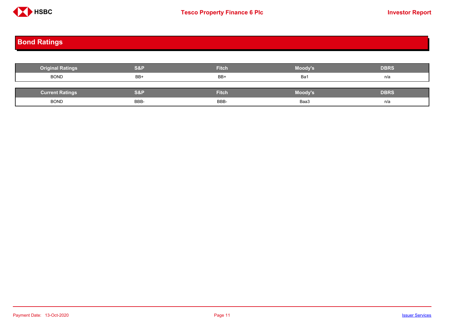

# <span id="page-10-0"></span>**Bond Ratings**

| <b>Original Ratings</b> | <b>S&amp;P</b> | <b>Fitch</b> | Moody's | <b>DBRS</b> |
|-------------------------|----------------|--------------|---------|-------------|
| <b>BOND</b>             | BB+            | BB+          | Ba1     | n/a         |
|                         |                |              |         |             |
| <b>Current Ratings</b>  | <b>S&amp;P</b> | <b>Fitch</b> | Moody's | <b>DBRS</b> |
| <b>BOND</b>             | BBB-           | BBB-         | Baa3    | n/a         |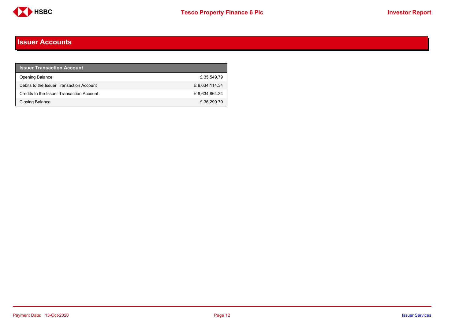

#### <span id="page-11-0"></span>**Issuer Accounts**

| <b>Issuer Transaction Account</b>         |                |
|-------------------------------------------|----------------|
| <b>Opening Balance</b>                    | £35.549.79     |
| Debits to the Issuer Transaction Account  | £ 8,634,114.34 |
| Credits to the Issuer Transaction Account | £8.634.864.34  |
| <b>Closing Balance</b>                    | £36,299.79     |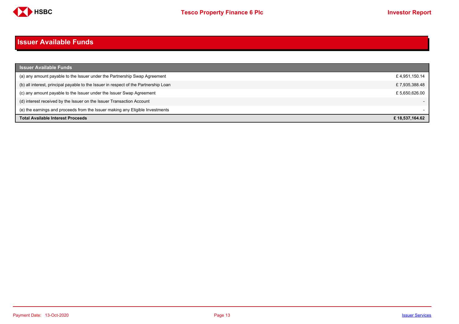

#### <span id="page-12-0"></span>**Issuer Available Funds**

| <b>Issuer Available Funds</b>                                                        |                |
|--------------------------------------------------------------------------------------|----------------|
| (a) any amount payable to the Issuer under the Partnership Swap Agreement            | £4,951,150.14  |
| (b) all interest, principal payable to the Issuer in respect of the Partnership Loan | £7,935,388.48  |
| (c) any amount payable to the Issuer under the Issuer Swap Agreement                 | £5.650.626.00  |
| (d) interest received by the Issuer on the Issuer Transaction Account                |                |
| (e) the earnings and proceeds from the Issuer making any Eligible Investments        |                |
| <b>Total Available Interest Proceeds</b>                                             | £18.537.164.62 |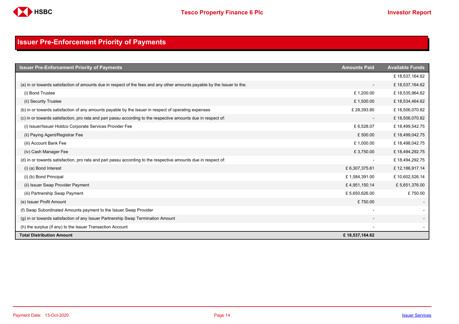

### <span id="page-13-0"></span>**Issuer Pre-Enforcement Priority of Payments**

| <b>Issuer Pre-Enforcement Priority of Payments</b>                                                                       | <b>Amounts Paid</b>      | <b>Available Funds</b> |
|--------------------------------------------------------------------------------------------------------------------------|--------------------------|------------------------|
|                                                                                                                          |                          | £18,537,164.62         |
| (a) in or towards satisfaction of amounts due in respect of the fees and any other amounts payable by the Issuer to the: | $\overline{\phantom{a}}$ | £18,537,164.62         |
| (i) Bond Trustee                                                                                                         | £1,200.00                | £18,535,964.62         |
| (ii) Security Trustee                                                                                                    | £1,500.00                | £18,534,464.62         |
| (b) in or towards satisfaction of any amounts payable by the Issuer in respect of operating expenses                     | £28,393.80               | £18,506,070.82         |
| (c) in or towards satisfaction, pro rata and pari passu according to the respective amounts due in respect of:           | $\overline{\phantom{a}}$ | £18,506,070.82         |
| (i) Issuer/Issuer Holdco Corporate Services Provider Fee                                                                 | £6,528.07                | £18,499,542.75         |
| (ii) Paying Agent/Registrar Fee                                                                                          | £500.00                  | £18,499,042.75         |
| (iii) Account Bank Fee                                                                                                   | £1,000.00                | £18,498,042.75         |
| (iv) Cash Manager Fee                                                                                                    | £3,750.00                | £18,494,292.75         |
| (d) in or towards satisfaction, pro rata and pari passu according to the respective amounts due in respect of:           | $\overline{\phantom{a}}$ | £18,494,292.75         |
| (i) (a) Bond Interest                                                                                                    | £ 6,307,375.61           | £12,186,917.14         |
| (i) (b) Bond Principal                                                                                                   | £1,584,391.00            | £10,602,526.14         |
| (ii) Issuer Swap Provider Payment                                                                                        | £4,951,150.14            | £5,651,376.00          |
| (iii) Partnership Swap Payment                                                                                           | £5,650,626.00            | £750.00                |
| (e) Issuer Profit Amount                                                                                                 | £750.00                  |                        |
| (f) Swap Subordinated Amounts payment to the Issuer Swap Provider                                                        |                          |                        |
| (g) in or towards satisfaction of any Issuer Partnership Swap Termination Amount                                         |                          |                        |
| (h) the surplus (if any) to the Issuer Transaction Account                                                               |                          |                        |
| <b>Total Distribution Amount</b>                                                                                         | £18,537,164.62           |                        |